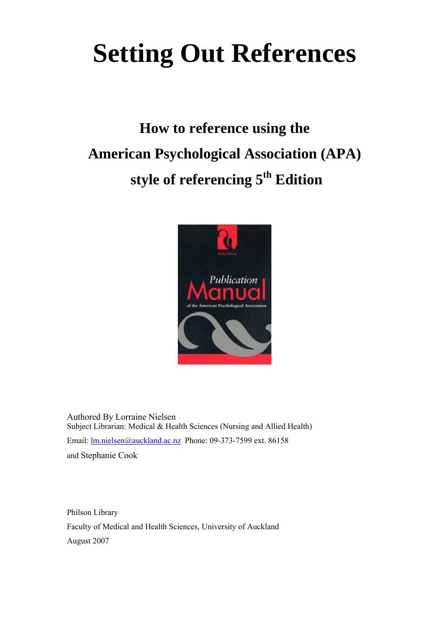# **Setting Out References**

## **How to reference using the American Psychological Association (APA) style of referencing 5th Edition**



Authored By Lorraine Nielsen Subject Librarian: Medical & Health Sciences (Nursing and Allied Health) Email: [lm.nielsen@auckland.ac.nz](mailto:lm.nielsen@auckland.ac.nz) Phone: 09-373-7599 ext. 86158 and Stephanie Cook

Philson Library Faculty of Medical and Health Sciences, University of Auckland August 2007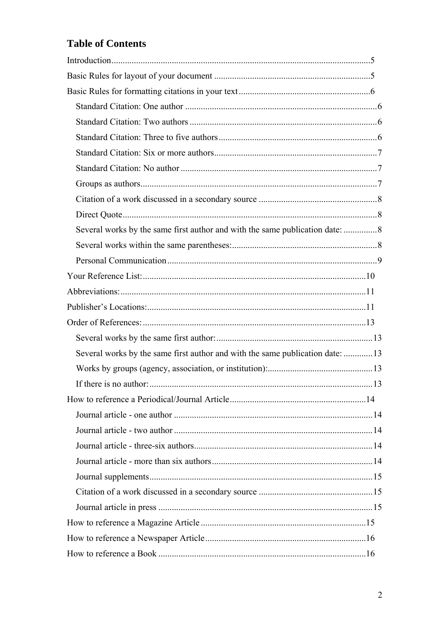## **Table of Contents**

| Several works by the same first author and with the same publication date:    |  |
|-------------------------------------------------------------------------------|--|
|                                                                               |  |
|                                                                               |  |
|                                                                               |  |
|                                                                               |  |
|                                                                               |  |
|                                                                               |  |
|                                                                               |  |
| Several works by the same first author and with the same publication date: 13 |  |
|                                                                               |  |
|                                                                               |  |
|                                                                               |  |
|                                                                               |  |
|                                                                               |  |
|                                                                               |  |
|                                                                               |  |
|                                                                               |  |
|                                                                               |  |
|                                                                               |  |
|                                                                               |  |
|                                                                               |  |
|                                                                               |  |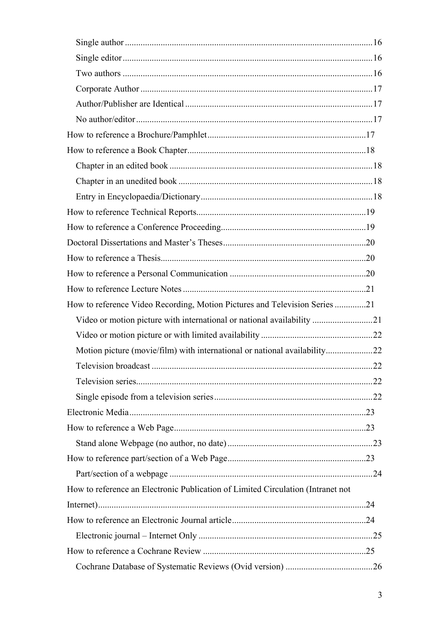| How to reference Video Recording, Motion Pictures and Television Series 21      |  |
|---------------------------------------------------------------------------------|--|
| Video or motion picture with international or national availability 21          |  |
|                                                                                 |  |
|                                                                                 |  |
|                                                                                 |  |
|                                                                                 |  |
|                                                                                 |  |
|                                                                                 |  |
|                                                                                 |  |
|                                                                                 |  |
|                                                                                 |  |
|                                                                                 |  |
| How to reference an Electronic Publication of Limited Circulation (Intranet not |  |
|                                                                                 |  |
|                                                                                 |  |
|                                                                                 |  |
|                                                                                 |  |
|                                                                                 |  |
|                                                                                 |  |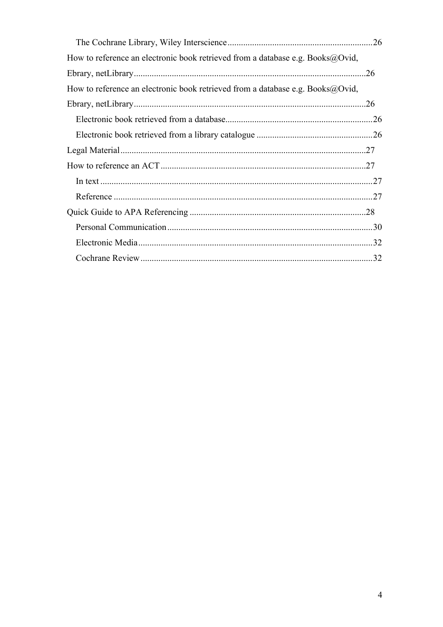| How to reference an electronic book retrieved from a database e.g. Books $\omega$ Ovid, |  |
|-----------------------------------------------------------------------------------------|--|
|                                                                                         |  |
| How to reference an electronic book retrieved from a database e.g. Books $\omega$ Ovid, |  |
|                                                                                         |  |
|                                                                                         |  |
|                                                                                         |  |
|                                                                                         |  |
|                                                                                         |  |
|                                                                                         |  |
|                                                                                         |  |
|                                                                                         |  |
|                                                                                         |  |
|                                                                                         |  |
|                                                                                         |  |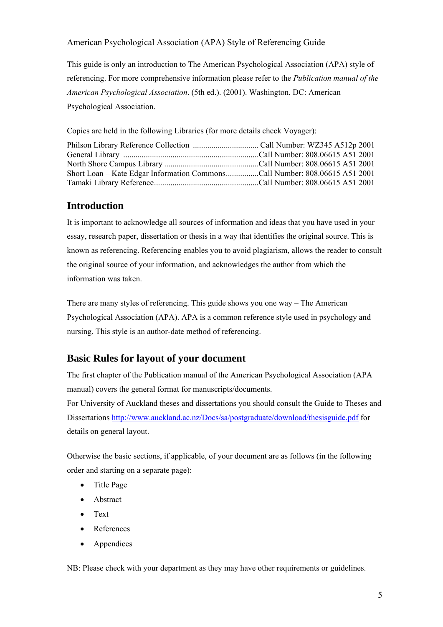<span id="page-4-0"></span>American Psychological Association (APA) Style of Referencing Guide

This guide is only an introduction to The American Psychological Association (APA) style of referencing. For more comprehensive information please refer to the *Publication manual of the American Psychological Association*. (5th ed.). (2001). Washington, DC: American Psychological Association.

Copies are held in the following Libraries (for more details check Voyager):

| Short Loan – Kate Edgar Information CommonsCall Number: 808.06615 A51 2001 |  |
|----------------------------------------------------------------------------|--|
|                                                                            |  |

## **Introduction**

It is important to acknowledge all sources of information and ideas that you have used in your essay, research paper, dissertation or thesis in a way that identifies the original source. This is known as referencing. Referencing enables you to avoid plagiarism, allows the reader to consult the original source of your information, and acknowledges the author from which the information was taken.

There are many styles of referencing. This guide shows you one way – The American Psychological Association (APA). APA is a common reference style used in psychology and nursing. This style is an author-date method of referencing.

## **Basic Rules for layout of your document**

The first chapter of the Publication manual of the American Psychological Association (APA manual) covers the general format for manuscripts/documents.

For University of Auckland theses and dissertations you should consult the Guide to Theses and Dissertations<http://www.auckland.ac.nz/Docs/sa/postgraduate/download/thesisguide.pdf>for details on general layout.

Otherwise the basic sections, if applicable, of your document are as follows (in the following order and starting on a separate page):

- Title Page
- Abstract
- Text
- **References**
- Appendices

NB: Please check with your department as they may have other requirements or guidelines.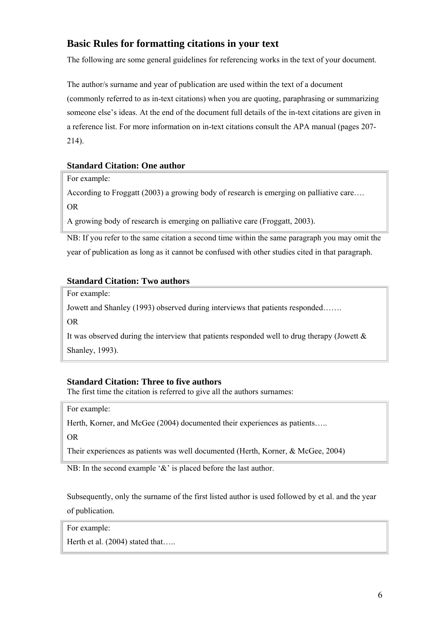## <span id="page-5-0"></span>**Basic Rules for formatting citations in your text**

The following are some general guidelines for referencing works in the text of your document.

The author/s surname and year of publication are used within the text of a document (commonly referred to as in-text citations) when you are quoting, paraphrasing or summarizing someone else's ideas. At the end of the document full details of the in-text citations are given in a reference list. For more information on in-text citations consult the APA manual (pages 207- 214).

#### **Standard Citation: One author**

For example:

According to Froggatt (2003) a growing body of research is emerging on palliative care….

OR

A growing body of research is emerging on palliative care (Froggatt, 2003).

NB: If you refer to the same citation a second time within the same paragraph you may omit the year of publication as long as it cannot be confused with other studies cited in that paragraph.

#### **Standard Citation: Two authors**

For example:

Jowett and Shanley (1993) observed during interviews that patients responded…….

OR

It was observed during the interview that patients responded well to drug therapy (Jowett & Shanley, 1993).

#### **Standard Citation: Three to five authors**

The first time the citation is referred to give all the authors surnames:

For example:

Herth, Korner, and McGee (2004) documented their experiences as patients.....

OR

Their experiences as patients was well documented (Herth, Korner, & McGee, 2004)

NB: In the second example '&' is placed before the last author.

Subsequently, only the surname of the first listed author is used followed by et al. and the year of publication.

For example:

Herth et al. (2004) stated that.....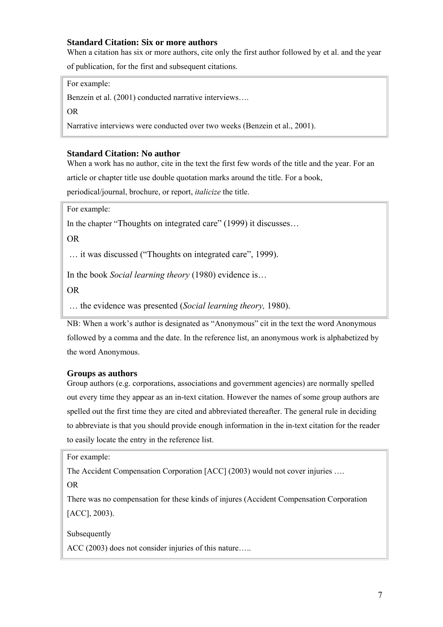#### <span id="page-6-0"></span>**Standard Citation: Six or more authors**

When a citation has six or more authors, cite only the first author followed by et al. and the year

of publication, for the first and subsequent citations.

For example:

Benzein et al. (2001) conducted narrative interviews….

OR

Narrative interviews were conducted over two weeks (Benzein et al., 2001).

#### **Standard Citation: No author**

When a work has no author, cite in the text the first few words of the title and the year. For an article or chapter title use double quotation marks around the title. For a book,

periodical/journal, brochure, or report, *italicize* the title.

For example:

In the chapter "Thoughts on integrated care" (1999) it discusses…

OR

… it was discussed ("Thoughts on integrated care", 1999).

In the book *Social learning theory* (1980) evidence is…

OR

… the evidence was presented (*Social learning theory,* 1980).

NB: When a work's author is designated as "Anonymous" cit in the text the word Anonymous followed by a comma and the date. In the reference list, an anonymous work is alphabetized by the word Anonymous.

#### **Groups as authors**

Group authors (e.g. corporations, associations and government agencies) are normally spelled out every time they appear as an in-text citation. However the names of some group authors are spelled out the first time they are cited and abbreviated thereafter. The general rule in deciding to abbreviate is that you should provide enough information in the in-text citation for the reader to easily locate the entry in the reference list.

For example:

The Accident Compensation Corporation [ACC] (2003) would not cover injuries ….

OR

There was no compensation for these kinds of injures (Accident Compensation Corporation [ACC], 2003).

Subsequently

ACC (2003) does not consider injuries of this nature…..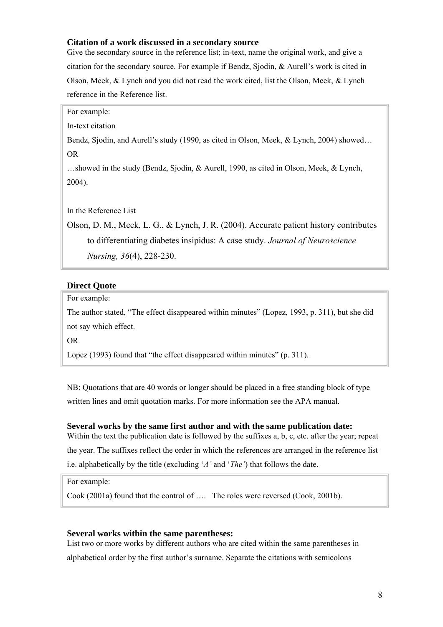#### <span id="page-7-0"></span>**Citation of a work discussed in a secondary source**

Give the secondary source in the reference list; in-text, name the original work, and give a citation for the secondary source. For example if Bendz, Sjodin, & Aurell's work is cited in Olson, Meek, & Lynch and you did not read the work cited, list the Olson, Meek, & Lynch reference in the Reference list.

For example:

In-text citation

Bendz, Sjodin, and Aurell's study (1990, as cited in Olson, Meek, & Lynch, 2004) showed… OR

…showed in the study (Bendz, Sjodin, & Aurell, 1990, as cited in Olson, Meek, & Lynch, 2004).

In the Reference List

Olson, D. M., Meek, L. G., & Lynch, J. R. (2004). Accurate patient history contributes to differentiating diabetes insipidus: A case study. *Journal of Neuroscience Nursing, 36*(4), 228-230.

#### **Direct Quote**

For example:

The author stated, "The effect disappeared within minutes" (Lopez, 1993, p. 311), but she did not say which effect.

OR

Lopez (1993) found that "the effect disappeared within minutes" (p. 311).

NB: Quotations that are 40 words or longer should be placed in a free standing block of type written lines and omit quotation marks. For more information see the APA manual.

#### **Several works by the same first author and with the same publication date:**

Within the text the publication date is followed by the suffixes a, b, c, etc. after the year; repeat the year. The suffixes reflect the order in which the references are arranged in the reference list i.e. alphabetically by the title (excluding '*A'* and '*The'*) that follows the date.

For example:

Cook (2001a) found that the control of …. The roles were reversed (Cook, 2001b).

#### **Several works within the same parentheses:**

List two or more works by different authors who are cited within the same parentheses in alphabetical order by the first author's surname. Separate the citations with semicolons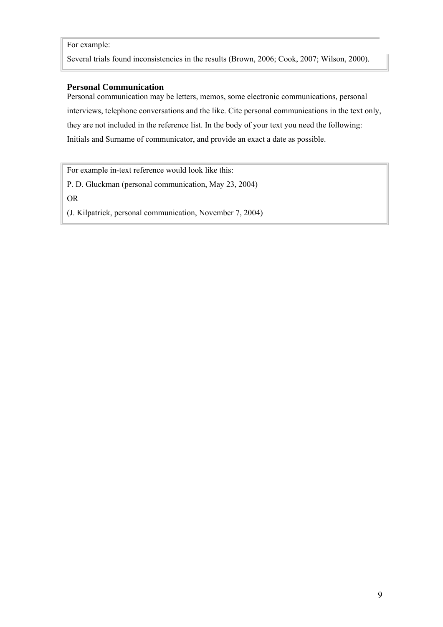#### <span id="page-8-0"></span>For example:

Several trials found inconsistencies in the results (Brown, 2006; Cook, 2007; Wilson, 2000).

#### **Personal Communication**

Personal communication may be letters, memos, some electronic communications, personal interviews, telephone conversations and the like. Cite personal communications in the text only, they are not included in the reference list. In the body of your text you need the following: Initials and Surname of communicator, and provide an exact a date as possible.

For example in-text reference would look like this:

P. D. Gluckman (personal communication, May 23, 2004)

OR

(J. Kilpatrick, personal communication, November 7, 2004)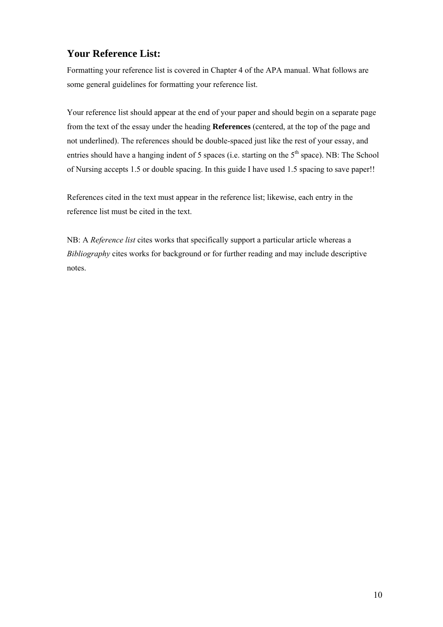## <span id="page-9-0"></span>**Your Reference List:**

Formatting your reference list is covered in Chapter 4 of the APA manual. What follows are some general guidelines for formatting your reference list.

Your reference list should appear at the end of your paper and should begin on a separate page from the text of the essay under the heading **References** (centered, at the top of the page and not underlined). The references should be double-spaced just like the rest of your essay, and entries should have a hanging indent of 5 spaces (i.e. starting on the  $5<sup>th</sup>$  space). NB: The School of Nursing accepts 1.5 or double spacing. In this guide I have used 1.5 spacing to save paper!!

References cited in the text must appear in the reference list; likewise, each entry in the reference list must be cited in the text.

NB: A *Reference list* cites works that specifically support a particular article whereas a *Bibliography* cites works for background or for further reading and may include descriptive notes.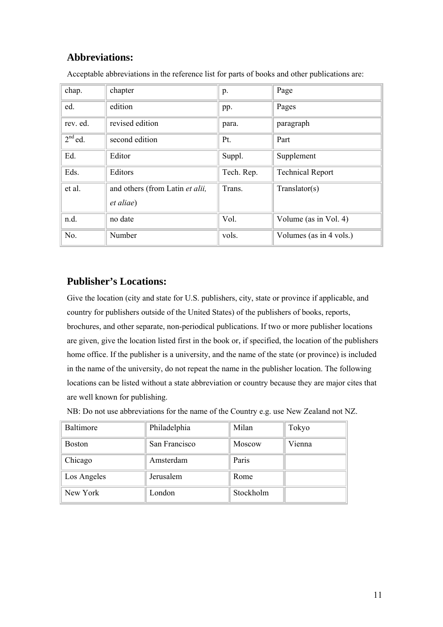## <span id="page-10-0"></span>**Abbreviations:**

| chap.     | chapter                                              | p.         | Page                    |
|-----------|------------------------------------------------------|------------|-------------------------|
| ed.       | edition                                              | pp.        | Pages                   |
| rev. ed.  | revised edition                                      | para.      | paragraph               |
| $2nd$ ed. | second edition                                       | Pt.        | Part                    |
| Ed.       | Editor                                               | Suppl.     | Supplement              |
| Eds.      | Editors                                              | Tech. Rep. | <b>Technical Report</b> |
| et al.    | and others (from Latin et alii,<br><i>et aliae</i> ) | Trans.     | Translator(s)           |
| n.d.      | no date                                              | Vol.       | Volume (as in Vol. 4)   |
| No.       | Number                                               | vols.      | Volumes (as in 4 vols.) |

Acceptable abbreviations in the reference list for parts of books and other publications are:

## **Publisher's Locations:**

Give the location (city and state for U.S. publishers, city, state or province if applicable, and country for publishers outside of the United States) of the publishers of books, reports, brochures, and other separate, non-periodical publications. If two or more publisher locations are given, give the location listed first in the book or, if specified, the location of the publishers home office. If the publisher is a university, and the name of the state (or province) is included in the name of the university, do not repeat the name in the publisher location. The following locations can be listed without a state abbreviation or country because they are major cites that are well known for publishing.

NB: Do not use abbreviations for the name of the Country e.g. use New Zealand not NZ.

| Baltimore     | Philadelphia  | Milan     | Tokyo  |
|---------------|---------------|-----------|--------|
| <b>Boston</b> | San Francisco | Moscow    | Vienna |
| Chicago       | Amsterdam     | Paris     |        |
| Los Angeles   | Jerusalem     | Rome      |        |
| New York      | London        | Stockholm |        |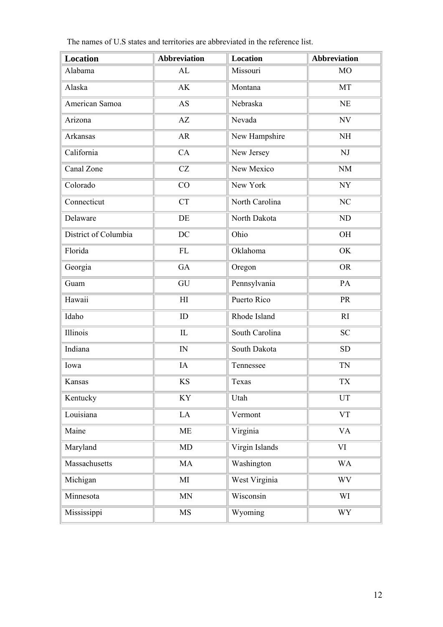| <b>Location</b>      | <b>Abbreviation</b>        | <b>Location</b> | <b>Abbreviation</b>      |
|----------------------|----------------------------|-----------------|--------------------------|
| Alabama              | AL                         | Missouri        | M <sub>O</sub>           |
| Alaska               | AK                         | Montana         | MT                       |
| American Samoa       | <b>AS</b>                  | Nebraska        | NE                       |
| Arizona              | AZ                         | Nevada          | $\ensuremath{\text{NV}}$ |
| Arkansas             | AR                         | New Hampshire   | $\rm NH$                 |
| California           | CA                         | New Jersey      | NJ                       |
| Canal Zone           | CZ                         | New Mexico      | <b>NM</b>                |
| Colorado             | CO                         | New York        | NY                       |
| Connecticut          | <b>CT</b>                  | North Carolina  | NC                       |
| Delaware             | DE                         | North Dakota    | ND                       |
| District of Columbia | DC                         | Ohio            | OH                       |
| Florida              | FL                         | Oklahoma        | OK                       |
| Georgia              | GA                         | Oregon          | <b>OR</b>                |
| Guam                 | GU                         | Pennsylvania    | PA                       |
| Hawaii               | $\mathop{\rm HI}\nolimits$ | Puerto Rico     | <b>PR</b>                |
| Idaho                | ID                         | Rhode Island    | RI                       |
| Illinois             | IL                         | South Carolina  | <b>SC</b>                |
| Indiana              | IN                         | South Dakota    | <b>SD</b>                |
| Iowa                 | IA                         | Tennessee       | <b>TN</b>                |
| Kansas               | KS                         | Texas           | <b>TX</b>                |
| Kentucky             | KY                         | Utah            | UT                       |
| Louisiana            | LA                         | Vermont         | <b>VT</b>                |
| Maine                | ME                         | Virginia        | <b>VA</b>                |
| Maryland             | MD                         | Virgin Islands  | VI                       |
| Massachusetts        | MA                         | Washington      | <b>WA</b>                |
| Michigan             | MI                         | West Virginia   | <b>WV</b>                |
| Minnesota            | MN                         | Wisconsin       | WI                       |
| Mississippi          | MS                         | Wyoming         | <b>WY</b>                |

The names of U.S states and territories are abbreviated in the reference list.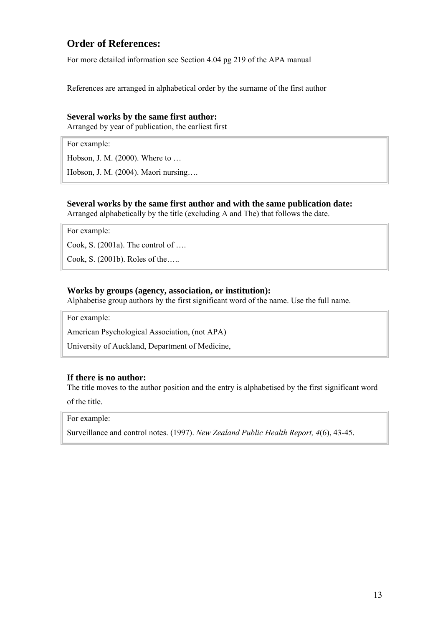## <span id="page-12-0"></span>**Order of References:**

For more detailed information see Section 4.04 pg 219 of the APA manual

References are arranged in alphabetical order by the surname of the first author

#### **Several works by the same first author:**

Arranged by year of publication, the earliest first

For example:

Hobson, J. M. (2000). Where to …

Hobson, J. M. (2004). Maori nursing….

#### **Several works by the same first author and with the same publication date:**

Arranged alphabetically by the title (excluding A and The) that follows the date.

For example:

Cook, S. (2001a). The control of ….

Cook, S. (2001b). Roles of the…..

#### **Works by groups (agency, association, or institution):**

Alphabetise group authors by the first significant word of the name. Use the full name.

For example:

American Psychological Association, (not APA)

University of Auckland, Department of Medicine,

#### **If there is no author:**

The title moves to the author position and the entry is alphabetised by the first significant word of the title.

For example:

Surveillance and control notes. (1997). *New Zealand Public Health Report, 4*(6), 43-45.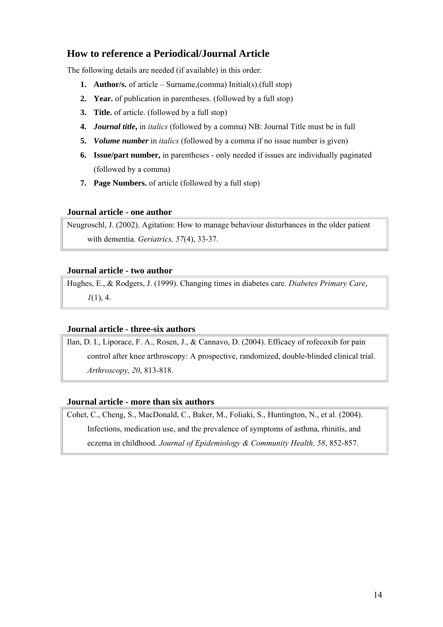## <span id="page-13-0"></span>**How to reference a Periodical/Journal Article**

The following details are needed (if available) in this order:

- **1. Author/s.** of article Surname,(comma) Initial(s).(full stop)
- **2. Year.** of publication in parentheses. (followed by a full stop)
- **3. Title.** of article. (followed by a full stop)
- **4.** *Journal title***,** in *italics* (followed by a comma) NB: Journal Title must be in full
- **5.** *Volume number* in *italics* (followed by a comma if no issue number is given)
- **6. Issue/part number,** in parentheses only needed if issues are individually paginated (followed by a comma)
- **7. Page Numbers.** of article (followed by a full stop)

#### **Journal article - one author**

Neugroschl, J. (2002). Agitation: How to manage behaviour disturbances in the older patient with dementia. *Geriatrics, 57*(4), 33-37.

#### **Journal article - two author**

Hughes, E., & Rodgers, J. (1999). Changing times in diabetes care. *Diabetes Primary Care*, *1*(1), 4.

#### **Journal article - three-six authors**

Ilan, D. I., Liporace, F. A., Rosen, J., & Cannavo, D. (2004). Efficacy of rofecoxib for pain control after knee arthroscopy: A prospective, randomized, double-blinded clinical trial. *Arthroscopy, 20*, 813-818.

#### **Journal article - more than six authors**

Cohet, C., Cheng, S., MacDonald, C., Baker, M., Foliaki, S., Huntington, N., et al. (2004). Infections, medication use, and the prevalence of symptoms of asthma, rhinitis, and eczema in childhood. *Journal of Epidemiology & Community Health, 58*, 852-857.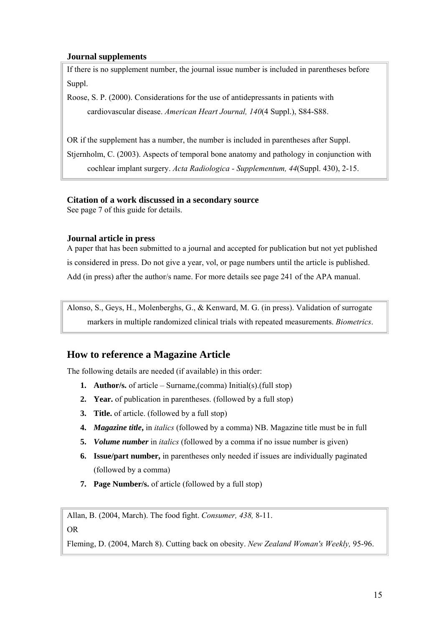#### <span id="page-14-0"></span>**Journal supplements**

If there is no supplement number, the journal issue number is included in parentheses before Suppl.

Roose, S. P. (2000). Considerations for the use of antidepressants in patients with cardiovascular disease. *American Heart Journal, 140*(4 Suppl.), S84-S88.

OR if the supplement has a number, the number is included in parentheses after Suppl. Stjernholm, C. (2003). Aspects of temporal bone anatomy and pathology in conjunction with cochlear implant surgery. *Acta Radiologica - Supplementum, 44*(Suppl. 430), 2-15.

#### **Citation of a work discussed in a secondary source**

See page 7 of this guide for details.

#### **Journal article in press**

A paper that has been submitted to a journal and accepted for publication but not yet published is considered in press. Do not give a year, vol, or page numbers until the article is published. Add (in press) after the author/s name. For more details see page 241 of the APA manual.

Alonso, S., Geys, H., Molenberghs, G., & Kenward, M. G. (in press). Validation of surrogate markers in multiple randomized clinical trials with repeated measurements. *Biometrics*.

## **How to reference a Magazine Article**

The following details are needed (if available) in this order:

- **1. Author/s.** of article Surname,(comma) Initial(s).(full stop)
- **2. Year.** of publication in parentheses. (followed by a full stop)
- **3. Title.** of article. (followed by a full stop)
- **4.** *Magazine title***,** in *italics* (followed by a comma) NB. Magazine title must be in full
- **5.** *Volume number* in *italics* (followed by a comma if no issue number is given)
- **6. Issue/part number,** in parentheses only needed if issues are individually paginated (followed by a comma)
- **7. Page Number/s.** of article (followed by a full stop)

Allan, B. (2004, March). The food fight. *Consumer, 438,* 8-11.

OR

Fleming, D. (2004, March 8). Cutting back on obesity. *New Zealand Woman's Weekly,* 95-96.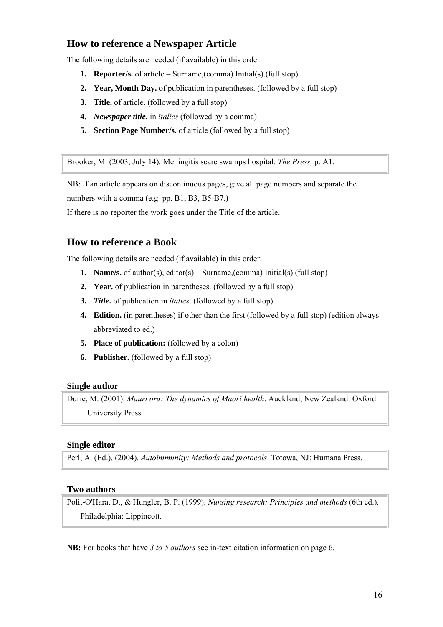## <span id="page-15-0"></span>**How to reference a Newspaper Article**

The following details are needed (if available) in this order:

- **1. Reporter/s.** of article Surname,(comma) Initial(s).(full stop)
- **2. Year, Month Day.** of publication in parentheses. (followed by a full stop)
- **3. Title.** of article. (followed by a full stop)
- **4.** *Newspaper title***,** in *italics* (followed by a comma)
- **5. Section Page Number/s.** of article (followed by a full stop)

Brooker, M. (2003, July 14). Meningitis scare swamps hospital*. The Press,* p. A1.

NB: If an article appears on discontinuous pages, give all page numbers and separate the numbers with a comma (e.g. pp. B1, B3, B5-B7.)

If there is no reporter the work goes under the Title of the article.

## **How to reference a Book**

The following details are needed (if available) in this order:

- **1. Name/s.** of author(s), editor(s) Surname,(comma) Initial(s).(full stop)
- **2. Year.** of publication in parentheses. (followed by a full stop)
- **3.** *Title***.** of publication in *italics*. (followed by a full stop)
- **4. Edition.** (in parentheses) if other than the first (followed by a full stop) (edition always abbreviated to ed.)
- **5. Place of publication:** (followed by a colon)
- **6. Publisher.** (followed by a full stop)

#### **Single author**

Durie, M. (2001). *Mauri ora: The dynamics of Maori health*. Auckland, New Zealand: Oxford University Press.

#### **Single editor**

Perl, A. (Ed.). (2004). *Autoimmunity: Methods and protocols*. Totowa, NJ: Humana Press.

#### **Two authors**

Polit-O'Hara, D., & Hungler, B. P. (1999). *Nursing research: Principles and methods* (6th ed.). Philadelphia: Lippincott.

**NB:** For books that have *3 to 5 authors* see in-text citation information on page 6.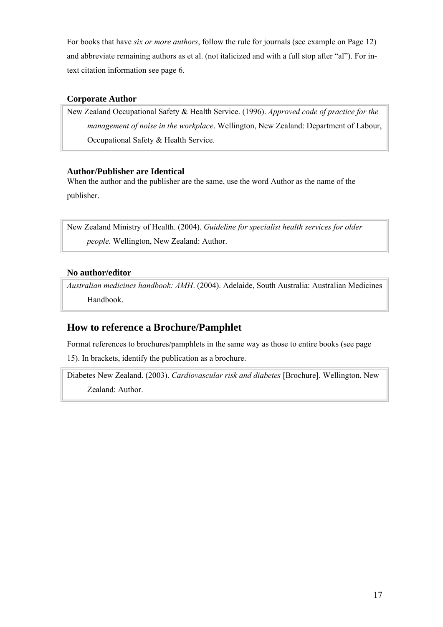<span id="page-16-0"></span>For books that have *six or more authors*, follow the rule for journals (see example on Page 12) and abbreviate remaining authors as et al. (not italicized and with a full stop after "al"). For intext citation information see page 6.

#### **Corporate Author**

New Zealand Occupational Safety & Health Service. (1996). *Approved code of practice for the management of noise in the workplace*. Wellington, New Zealand: Department of Labour, Occupational Safety & Health Service.

#### **Author/Publisher are Identical**

When the author and the publisher are the same, use the word Author as the name of the publisher.

New Zealand Ministry of Health. (2004). *Guideline for specialist health services for older people*. Wellington, New Zealand: Author.

## **No author/editor**

*Australian medicines handbook: AMH*. (2004). Adelaide, South Australia: Australian Medicines Handbook.

## **How to reference a Brochure/Pamphlet**

Format references to brochures/pamphlets in the same way as those to entire books (see page

15). In brackets, identify the publication as a brochure.

Diabetes New Zealand. (2003). *Cardiovascular risk and diabetes* [Brochure]. Wellington, New Zealand: Author.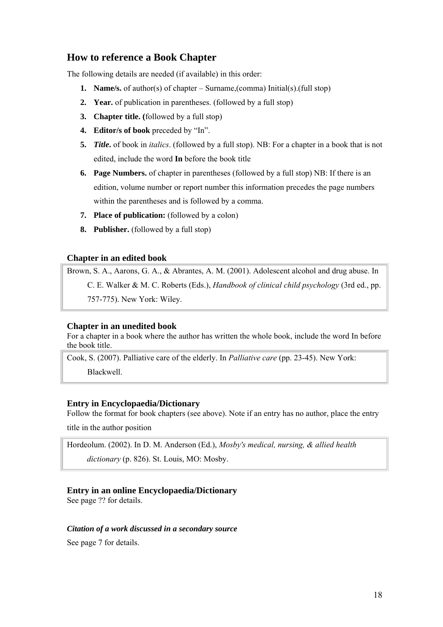## <span id="page-17-0"></span>**How to reference a Book Chapter**

The following details are needed (if available) in this order:

- **1. Name/s.** of author(s) of chapter Surname,(comma) Initial(s).(full stop)
- **2. Year.** of publication in parentheses. (followed by a full stop)
- **3. Chapter title. (**followed by a full stop)
- **4. Editor/s of book** preceded by "In".
- **5.** *Title***.** of book in *italics*. (followed by a full stop). NB: For a chapter in a book that is not edited, include the word **In** before the book title
- **6. Page Numbers.** of chapter in parentheses (followed by a full stop) NB: If there is an edition, volume number or report number this information precedes the page numbers within the parentheses and is followed by a comma.
- **7. Place of publication:** (followed by a colon)
- **8. Publisher.** (followed by a full stop)

#### **Chapter in an edited book**

Brown, S. A., Aarons, G. A., & Abrantes, A. M. (2001). Adolescent alcohol and drug abuse. In C. E. Walker & M. C. Roberts (Eds.), *Handbook of clinical child psychology* (3rd ed., pp. 757-775). New York: Wiley.

#### **Chapter in an unedited book**

For a chapter in a book where the author has written the whole book, include the word In before the book title.

Cook, S. (2007). Palliative care of the elderly. In *Palliative care* (pp. 23-45). New York:

Blackwell.

#### **Entry in Encyclopaedia/Dictionary**

Follow the format for book chapters (see above). Note if an entry has no author, place the entry

title in the author position

Hordeolum. (2002). In D. M. Anderson (Ed.), *Mosby's medical, nursing, & allied health dictionary* (p. 826). St. Louis, MO: Mosby.

#### **Entry in an online Encyclopaedia/Dictionary**

See page ?? for details.

#### *Citation of a work discussed in a secondary source*

See page 7 for details.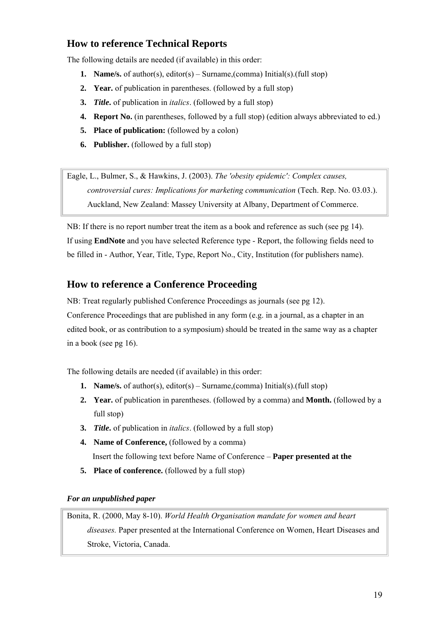## <span id="page-18-0"></span>**How to reference Technical Reports**

The following details are needed (if available) in this order:

- **1. Name/s.** of author(s), editor(s) Surname,(comma) Initial(s).(full stop)
- **2. Year.** of publication in parentheses. (followed by a full stop)
- **3.** *Title***.** of publication in *italics*. (followed by a full stop)
- **4. Report No.** (in parentheses, followed by a full stop) (edition always abbreviated to ed.)
- **5. Place of publication:** (followed by a colon)
- **6. Publisher.** (followed by a full stop)

Eagle, L., Bulmer, S., & Hawkins, J. (2003). *The 'obesity epidemic': Complex causes, controversial cures: Implications for marketing communication* (Tech. Rep. No. 03.03.). Auckland, New Zealand: Massey University at Albany, Department of Commerce.

NB: If there is no report number treat the item as a book and reference as such (see pg 14). If using **EndNote** and you have selected Reference type - Report, the following fields need to be filled in - Author, Year, Title, Type, Report No., City, Institution (for publishers name).

## **How to reference a Conference Proceeding**

NB: Treat regularly published Conference Proceedings as journals (see pg 12). Conference Proceedings that are published in any form (e.g. in a journal, as a chapter in an edited book, or as contribution to a symposium) should be treated in the same way as a chapter in a book (see pg 16).

The following details are needed (if available) in this order:

- **1. Name/s.** of author(s), editor(s) Surname,(comma) Initial(s).(full stop)
- **2. Year.** of publication in parentheses. (followed by a comma) and **Month.** (followed by a full stop)
- **3.** *Title***.** of publication in *italics*. (followed by a full stop)
- **4. Name of Conference,** (followed by a comma) Insert the following text before Name of Conference – **Paper presented at the**
- **5. Place of conference.** (followed by a full stop)

*For an unpublished paper* 

Bonita, R. (2000, May 8-10). *World Health Organisation mandate for women and heart diseases.* Paper presented at the International Conference on Women, Heart Diseases and Stroke, Victoria, Canada.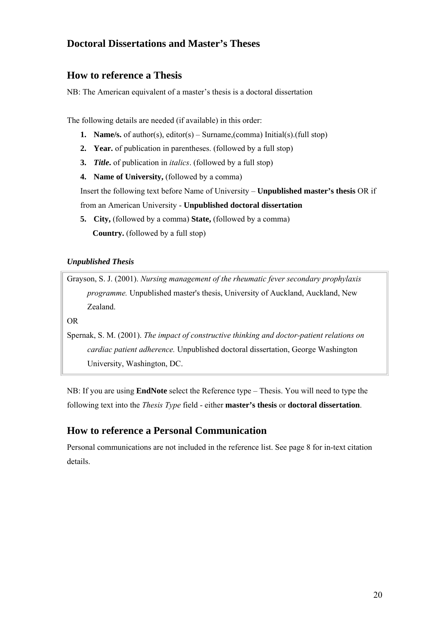## <span id="page-19-0"></span>**Doctoral Dissertations and Master's Theses**

#### **How to reference a Thesis**

NB: The American equivalent of a master's thesis is a doctoral dissertation

The following details are needed (if available) in this order:

- **1. Name/s.** of author(s), editor(s) Surname,(comma) Initial(s).(full stop)
- **2. Year.** of publication in parentheses. (followed by a full stop)
- **3.** *Title***.** of publication in *italics*. (followed by a full stop)
- **4. Name of University, (followed by a comma)**

Insert the following text before Name of University – **Unpublished master's thesis** OR if from an American University - **Unpublished doctoral dissertation** 

**5. City,** (followed by a comma) **State,** (followed by a comma)  **Country.** (followed by a full stop)

#### *Unpublished Thesis*

Grayson, S. J. (2001). *Nursing management of the rheumatic fever secondary prophylaxis programme.* Unpublished master's thesis, University of Auckland, Auckland, New Zealand.

OR

Spernak, S. M. (2001). *The impact of constructive thinking and doctor-patient relations on cardiac patient adherence.* Unpublished doctoral dissertation, George Washington University, Washington, DC.

NB: If you are using **EndNote** select the Reference type – Thesis. You will need to type the following text into the *Thesis Type* field - either **master's thesis** or **doctoral dissertation**.

## **How to reference a Personal Communication**

Personal communications are not included in the reference list. See page 8 for in-text citation details.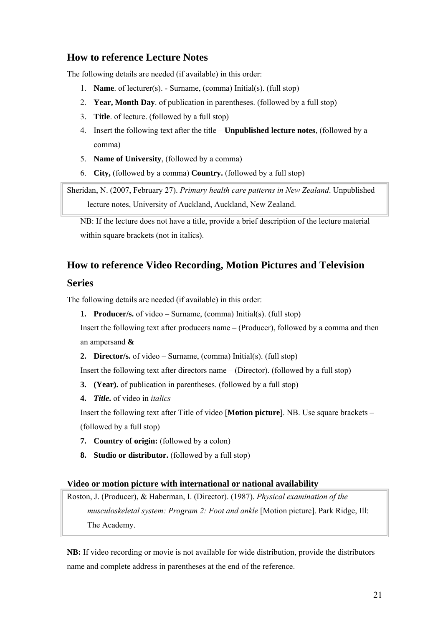## <span id="page-20-0"></span>**How to reference Lecture Notes**

The following details are needed (if available) in this order:

- 1. **Name**. of lecturer(s). Surname, (comma) Initial(s). (full stop)
- 2. **Year, Month Day**. of publication in parentheses. (followed by a full stop)
- 3. **Title**. of lecture. (followed by a full stop)
- 4. Insert the following text after the title **Unpublished lecture notes**, (followed by a comma)
- 5. **Name of University**, (followed by a comma)
- 6. **City,** (followed by a comma) **Country.** (followed by a full stop)

Sheridan, N. (2007, February 27). *Primary health care patterns in New Zealand*. Unpublished lecture notes, University of Auckland, Auckland, New Zealand.

NB: If the lecture does not have a title, provide a brief description of the lecture material within square brackets (not in italics).

## **How to reference Video Recording, Motion Pictures and Television**

#### **Series**

The following details are needed (if available) in this order:

**1. Producer/s.** of video – Surname, (comma) Initial(s). (full stop)

Insert the following text after producers name – (Producer), followed by a comma and then an ampersand **&**

**2. Director/s.** of video – Surname, (comma) Initial(s). (full stop)

Insert the following text after directors name – (Director). (followed by a full stop)

- **3. (Year).** of publication in parentheses. (followed by a full stop)
- **4.** *Title***.** of video in *italics*

Insert the following text after Title of video [**Motion picture**]. NB. Use square brackets – (followed by a full stop)

- **7. Country of origin:** (followed by a colon)
- **8. Studio or distributor.** (followed by a full stop)

#### **Video or motion picture with international or national availability**

Roston, J. (Producer), & Haberman, I. (Director). (1987). *Physical examination of the musculoskeletal system: Program 2: Foot and ankle* [Motion picture]. Park Ridge, Ill: The Academy.

**NB:** If video recording or movie is not available for wide distribution, provide the distributors name and complete address in parentheses at the end of the reference.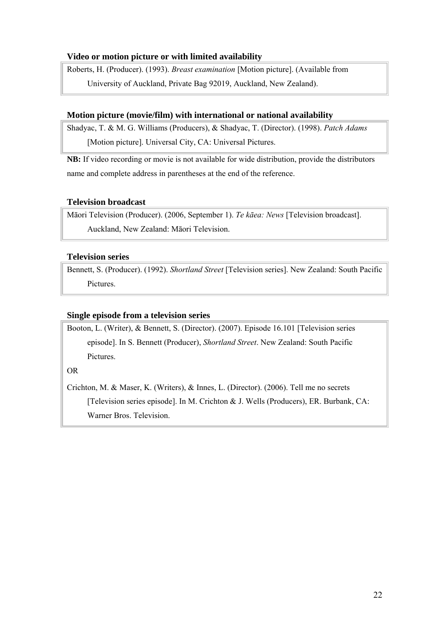#### <span id="page-21-0"></span>**Video or motion picture or with limited availability**

Roberts, H. (Producer). (1993). *Breast examination* [Motion picture]. (Available from University of Auckland, Private Bag 92019, Auckland, New Zealand).

#### **Motion picture (movie/film) with international or national availability**

Shadyac, T. & M. G. Williams (Producers), & Shadyac, T. (Director). (1998). *Patch Adams* [Motion picture]. Universal City, CA: Universal Pictures.

**NB:** If video recording or movie is not available for wide distribution, provide the distributors name and complete address in parentheses at the end of the reference.

#### **Television broadcast**

Māori Television (Producer). (2006, September 1). *Te kāea: News* [Television broadcast]. Auckland, New Zealand: Māori Television.

#### **Television series**

Bennett, S. (Producer). (1992). *Shortland Street* [Television series]. New Zealand: South Pacific Pictures.

#### **Single episode from a television series**

Booton, L. (Writer), & Bennett, S. (Director). (2007). Episode 16.101 [Television series episode]. In S. Bennett (Producer), *Shortland Street*. New Zealand: South Pacific Pictures.

OR

Crichton, M. & Maser, K. (Writers), & Innes, L. (Director). (2006). Tell me no secrets [Television series episode]. In M. Crichton & J. Wells (Producers), ER. Burbank, CA: Warner Bros. Television.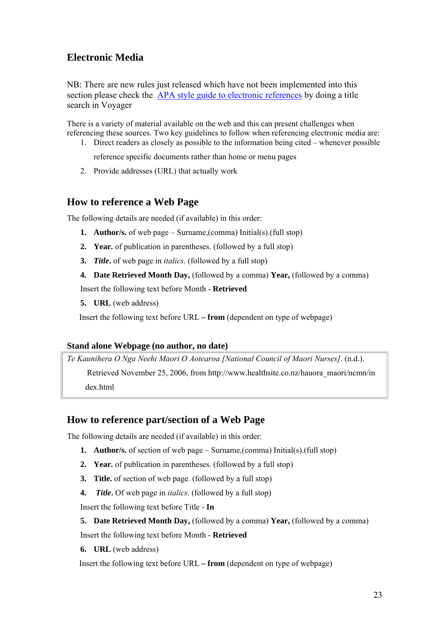## <span id="page-22-0"></span>**Electronic Media**

NB: There are new rules just released which have not been implemented into this section please check the [APA style guide to electronic references](http://voyager.auckland.ac.nz/cgi-bin/Pwebrecon.cgi?DB=local&Search_Arg=APA+style+guide+to+electronic+references&SL=None&Search_Code=TALL&CNT=20) by doing a title search in Voyager

There is a variety of material available on the web and this can present challenges when referencing these sources. Two key guidelines to follow when referencing electronic media are:

1. Direct readers as closely as possible to the information being cited – whenever possible

reference specific documents rather than home or menu pages

2. Provide addresses (URL) that actually work

#### **How to reference a Web Page**

The following details are needed (if available) in this order:

- **1. Author/s.** of web page Surname,(comma) Initial(s).(full stop)
- **2. Year.** of publication in parentheses. (followed by a full stop)
- **3.** *Title***.** of web page in *italics*. (followed by a full stop)
- **4. Date Retrieved Month Day,** (followed by a comma) **Year,** (followed by a comma)

Insert the following text before Month - **Retrieved**

**5. URL** (web address)

Insert the following text before URL **– from** (dependent on type of webpage)

#### **Stand alone Webpage (no author, no date)**

*Te Kaunihera O Nga Neehi Maori O Aotearoa [National Council of Maori Nurses]*. (n.d.).

Retrieved November 25, 2006, from http://www.healthsite.co.nz/hauora\_maori/ncmn/in dex.html

## **How to reference part/section of a Web Page**

The following details are needed (if available) in this order:

- **1. Author/s.** of section of web page Surname,(comma) Initial(s).(full stop)
- **2. Year.** of publication in parentheses. (followed by a full stop)
- **3. Title.** of section of web page. (followed by a full stop)
- **4.** *Title***.** Of web page in *italics*. (followed by a full stop)

Insert the following text before Title - **In**

#### **5. Date Retrieved Month Day,** (followed by a comma) **Year,** (followed by a comma)

Insert the following text before Month - **Retrieved**

**6. URL** (web address)

Insert the following text before URL **– from** (dependent on type of webpage)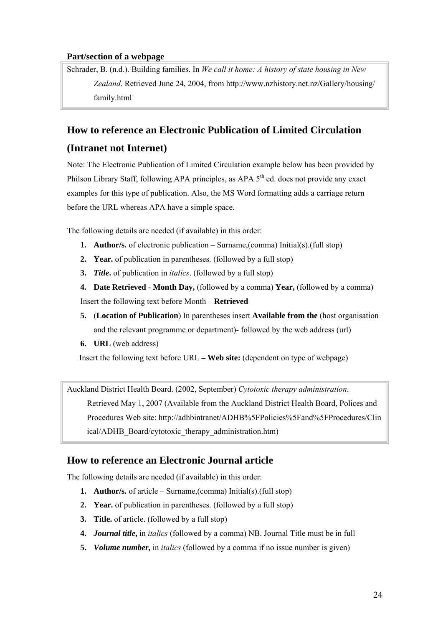#### <span id="page-23-0"></span>**Part/section of a webpage**

Schrader, B. (n.d.). Building families. In *We call it home: A history of state housing in New Zealand*. Retrieved June 24, 2004, from http://www.nzhistory.net.nz/Gallery/housing/ family.html

## **How to reference an Electronic Publication of Limited Circulation**

## **(Intranet not Internet)**

Note: The Electronic Publication of Limited Circulation example below has been provided by Philson Library Staff, following APA principles, as APA  $5<sup>th</sup>$  ed. does not provide any exact examples for this type of publication. Also, the MS Word formatting adds a carriage return before the URL whereas APA have a simple space.

The following details are needed (if available) in this order:

- **1. Author/s.** of electronic publication Surname,(comma) Initial(s).(full stop)
- **2. Year.** of publication in parentheses. (followed by a full stop)
- **3.** *Title***.** of publication in *italics*. (followed by a full stop)
- **4. Date Retrieved Month Day,** (followed by a comma) **Year,** (followed by a comma) Insert the following text before Month – **Retrieved**
- **5.** (**Location of Publication**) In parentheses insert **Available from the** (host organisation and the relevant programme or department)- followed by the web address (url)
- **6. URL** (web address)

Insert the following text before URL **– Web site:** (dependent on type of webpage)

Auckland District Health Board. (2002, September) *Cytotoxic therapy administration*. Retrieved May 1, 2007 (Available from the Auckland District Health Board, Polices and Procedures Web site: http://adhbintranet/ADHB%5FPolicies%5Fand%5FProcedures/Clin ical/ADHB\_Board/cytotoxic\_therapy\_administration.htm)

## **How to reference an Electronic Journal article**

The following details are needed (if available) in this order:

- **1. Author/s.** of article Surname,(comma) Initial(s).(full stop)
- **2. Year.** of publication in parentheses. (followed by a full stop)
- **3. Title.** of article. (followed by a full stop)
- **4.** *Journal title***,** in *italics* (followed by a comma) NB. Journal Title must be in full
- **5.** *Volume number***,** in *italics* (followed by a comma if no issue number is given)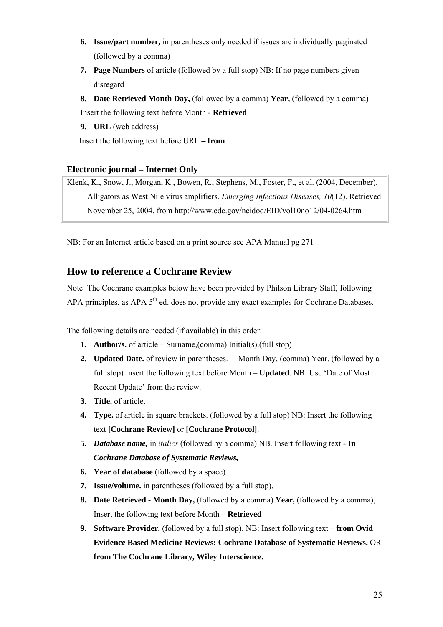- <span id="page-24-0"></span>**6. Issue/part number,** in parentheses only needed if issues are individually paginated (followed by a comma)
- **7. Page Numbers** of article (followed by a full stop) NB: If no page numbers given disregard

**8. Date Retrieved Month Day,** (followed by a comma) **Year,** (followed by a comma) Insert the following text before Month - **Retrieved**

**9. URL** (web address)

Insert the following text before URL **– from** 

#### **Electronic journal – Internet Only**

Klenk, K., Snow, J., Morgan, K., Bowen, R., Stephens, M., Foster, F., et al. (2004, December). Alligators as West Nile virus amplifiers. *Emerging Infectious Diseases, 10*(12). Retrieved November 25, 2004, from http://www.cdc.gov/ncidod/EID/vol10no12/04-0264.htm

NB: For an Internet article based on a print source see APA Manual pg 271

## **How to reference a Cochrane Review**

Note: The Cochrane examples below have been provided by Philson Library Staff, following APA principles, as APA 5<sup>th</sup> ed. does not provide any exact examples for Cochrane Databases.

The following details are needed (if available) in this order:

- **1. Author/s.** of article Surname,(comma) Initial(s).(full stop)
- **2. Updated Date.** of review in parentheses. Month Day, (comma) Year. (followed by a full stop) Insert the following text before Month – **Updated**. NB: Use 'Date of Most Recent Update' from the review.
- **3. Title.** of article.
- **4. Type.** of article in square brackets. (followed by a full stop) NB: Insert the following text **[Cochrane Review]** or **[Cochrane Protocol]**.
- **5.** *Database name,* in *italics* (followed by a comma) NB. Insert following text **In**  *Cochrane Database of Systematic Reviews,*
- **6. Year of database** (followed by a space)
- **7. Issue/volume.** in parentheses (followed by a full stop).
- **8. Date Retrieved Month Day,** (followed by a comma) **Year,** (followed by a comma), Insert the following text before Month – **Retrieved**
- **9. Software Provider.** (followed by a full stop). NB: Insert following text **from Ovid Evidence Based Medicine Reviews: Cochrane Database of Systematic Reviews.** OR **from The Cochrane Library, Wiley Interscience.**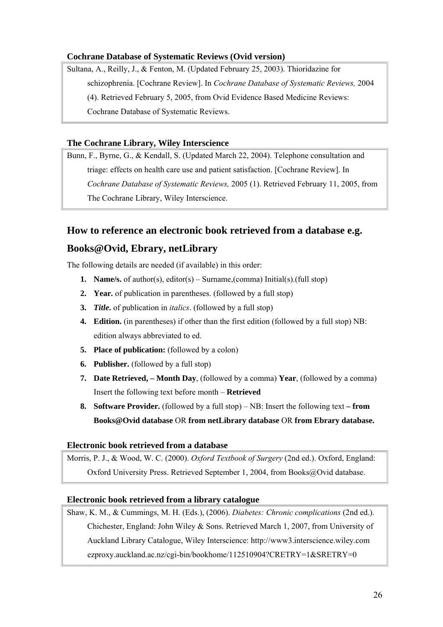#### <span id="page-25-0"></span>**Cochrane Database of Systematic Reviews (Ovid version)**

Sultana, A., Reilly, J., & Fenton, M. (Updated February 25, 2003). Thioridazine for schizophrenia. [Cochrane Review]. In *Cochrane Database of Systematic Reviews,* 2004 (4). Retrieved February 5, 2005, from Ovid Evidence Based Medicine Reviews: Cochrane Database of Systematic Reviews.

#### **The Cochrane Library, Wiley Interscience**

Bunn, F., Byrne, G., & Kendall, S. (Updated March 22, 2004). Telephone consultation and triage: effects on health care use and patient satisfaction. [Cochrane Review]. In *Cochrane Database of Systematic Reviews,* 2005 (1). Retrieved February 11, 2005, from The Cochrane Library, Wiley Interscience.

## **How to reference an electronic book retrieved from a database e.g. Books@Ovid, Ebrary, netLibrary**

The following details are needed (if available) in this order:

- **1. Name/s.** of author(s), editor(s) Surname,(comma) Initial(s).(full stop)
- **2. Year.** of publication in parentheses. (followed by a full stop)
- **3.** *Title***.** of publication in *italics*. (followed by a full stop)
- **4. Edition.** (in parentheses) if other than the first edition (followed by a full stop) NB: edition always abbreviated to ed.
- **5. Place of publication:** (followed by a colon)
- **6. Publisher.** (followed by a full stop)
- **7. Date Retrieved, – Month Day**, (followed by a comma) **Year**, (followed by a comma) Insert the following text before month – **Retrieved**
- **8. Software Provider.** (followed by a full stop) NB: Insert the following text **from Books@Ovid database** OR **from netLibrary database** OR **from Ebrary database.**

#### **Electronic book retrieved from a database**

Morris, P. J., & Wood, W. C. (2000). *Oxford Textbook of Surgery* (2nd ed.). Oxford, England: Oxford University Press. Retrieved September 1, 2004, from Books@Ovid database.

#### **Electronic book retrieved from a library catalogue**

Shaw, K. M., & Cummings, M. H. (Eds.), (2006). *Diabetes: Chronic complications* (2nd ed.). Chichester, England: John Wiley & Sons. Retrieved March 1, 2007, from University of Auckland Library Catalogue, Wiley Interscience: http://www3.interscience.wiley.com ezproxy.auckland.ac.nz/cgi-bin/bookhome/112510904?CRETRY=1&SRETRY=0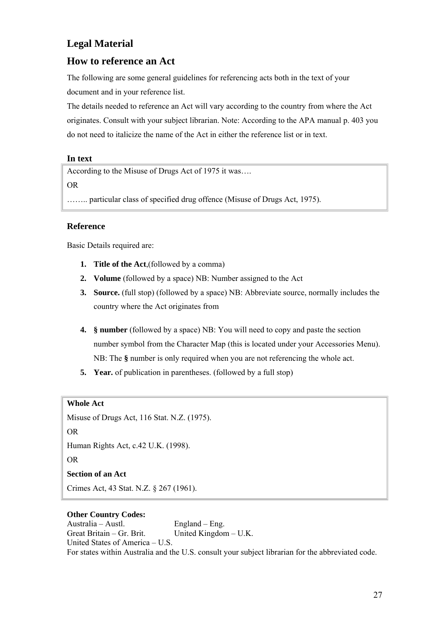## <span id="page-26-0"></span>**Legal Material**

## **How to reference an Act**

The following are some general guidelines for referencing acts both in the text of your document and in your reference list.

The details needed to reference an Act will vary according to the country from where the Act originates. Consult with your subject librarian. Note: According to the APA manual p. 403 you do not need to italicize the name of the Act in either the reference list or in text.

#### **In text**

According to the Misuse of Drugs Act of 1975 it was….

OR

…….. particular class of specified drug offence (Misuse of Drugs Act, 1975).

#### **Reference**

Basic Details required are:

- **1. Title of the Act**,(followed by a comma)
- **2. Volume** (followed by a space) NB: Number assigned to the Act
- **3. Source.** (full stop) (followed by a space) NB: Abbreviate source, normally includes the country where the Act originates from
- **4. § number** (followed by a space) NB: You will need to copy and paste the section number symbol from the Character Map (this is located under your Accessories Menu). NB: The **§** number is only required when you are not referencing the whole act.
- **5. Year.** of publication in parentheses. (followed by a full stop)

#### **Whole Act**

Misuse of Drugs Act, 116 Stat. N.Z. (1975). OR Human Rights Act, c.42 U.K. (1998). OR **Section of an Act**  Crimes Act, 43 Stat. N.Z. § 267 (1961).

#### **Other Country Codes:**

Australia – Austl. England – Eng. Great Britain – Gr. Brit. United Kingdom – U.K. United States of America – U.S. For states within Australia and the U.S. consult your subject librarian for the abbreviated code.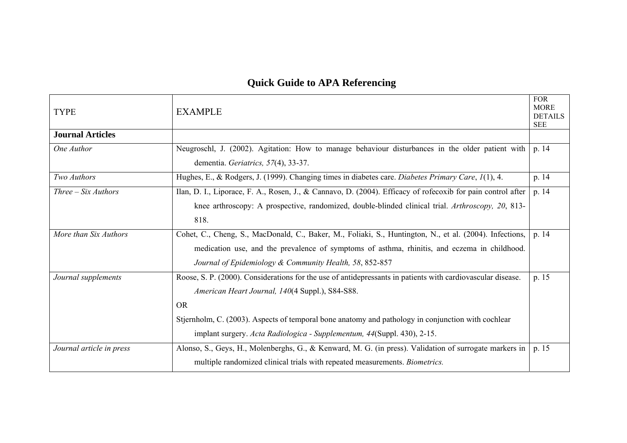## **Quick Guide to APA Referencing**

<span id="page-27-0"></span>

| <b>TYPE</b>              | <b>EXAMPLE</b>                                                                                                                                                                                                                                                                                                                                               | <b>FOR</b><br><b>MORE</b><br><b>DETAILS</b><br><b>SEE</b> |
|--------------------------|--------------------------------------------------------------------------------------------------------------------------------------------------------------------------------------------------------------------------------------------------------------------------------------------------------------------------------------------------------------|-----------------------------------------------------------|
| <b>Journal Articles</b>  |                                                                                                                                                                                                                                                                                                                                                              |                                                           |
| One Author               | Neugroschl, J. (2002). Agitation: How to manage behaviour disturbances in the older patient with<br>dementia. Geriatrics, 57(4), 33-37.                                                                                                                                                                                                                      | p. 14                                                     |
| Two Authors              | Hughes, E., & Rodgers, J. (1999). Changing times in diabetes care. Diabetes Primary Care, 1(1), 4.                                                                                                                                                                                                                                                           | p. 14                                                     |
| $Three-Six\, Authors$    | Ilan, D. I., Liporace, F. A., Rosen, J., & Cannavo, D. (2004). Efficacy of rofecoxib for pain control after<br>knee arthroscopy: A prospective, randomized, double-blinded clinical trial. Arthroscopy, 20, 813-<br>818.                                                                                                                                     | p. 14                                                     |
| More than Six Authors    | Cohet, C., Cheng, S., MacDonald, C., Baker, M., Foliaki, S., Huntington, N., et al. (2004). Infections,<br>medication use, and the prevalence of symptoms of asthma, rhinitis, and eczema in childhood.<br>Journal of Epidemiology & Community Health, 58, 852-857                                                                                           | p. 14                                                     |
| Journal supplements      | Roose, S. P. (2000). Considerations for the use of antidepressants in patients with cardiovascular disease.<br>American Heart Journal, 140(4 Suppl.), S84-S88.<br><b>OR</b><br>Stjernholm, C. (2003). Aspects of temporal bone anatomy and pathology in conjunction with cochlear<br>implant surgery. Acta Radiologica - Supplementum, 44(Suppl. 430), 2-15. | p. 15                                                     |
| Journal article in press | Alonso, S., Geys, H., Molenberghs, G., & Kenward, M. G. (in press). Validation of surrogate markers in  <br>multiple randomized clinical trials with repeated measurements. Biometrics.                                                                                                                                                                      | p. 15                                                     |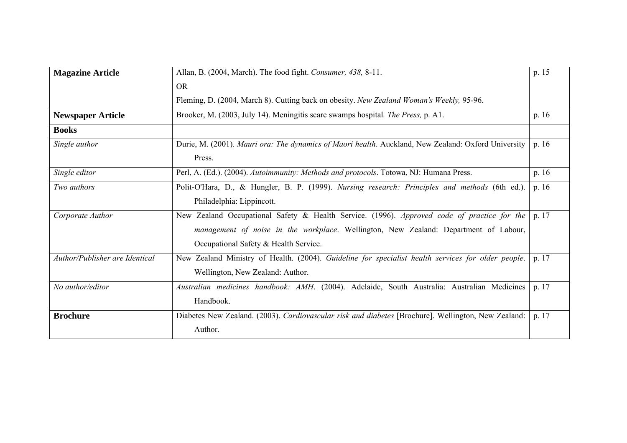| <b>Magazine Article</b>        | Allan, B. (2004, March). The food fight. Consumer, 438, 8-11.                                                                                                                                                                | p. 15   |
|--------------------------------|------------------------------------------------------------------------------------------------------------------------------------------------------------------------------------------------------------------------------|---------|
|                                | <b>OR</b>                                                                                                                                                                                                                    |         |
|                                | Fleming, D. (2004, March 8). Cutting back on obesity. New Zealand Woman's Weekly, 95-96.                                                                                                                                     |         |
| <b>Newspaper Article</b>       | Brooker, M. (2003, July 14). Meningitis scare swamps hospital. The Press, p. A1.                                                                                                                                             | p. 16   |
| <b>Books</b>                   |                                                                                                                                                                                                                              |         |
| Single author                  | Durie, M. (2001). Mauri ora: The dynamics of Maori health. Auckland, New Zealand: Oxford University<br>Press.                                                                                                                | p.16    |
| Single editor                  | Perl, A. (Ed.). (2004). Autoimmunity: Methods and protocols. Totowa, NJ: Humana Press.                                                                                                                                       | p. $16$ |
| Two authors                    | Polit-O'Hara, D., & Hungler, B. P. (1999). Nursing research: Principles and methods (6th ed.).<br>Philadelphia: Lippincott.                                                                                                  | p. 16   |
| Corporate Author               | New Zealand Occupational Safety & Health Service. (1996). Approved code of practice for the<br>management of noise in the workplace. Wellington, New Zealand: Department of Labour,<br>Occupational Safety & Health Service. | p. 17   |
| Author/Publisher are Identical | New Zealand Ministry of Health. (2004). Guideline for specialist health services for older people.<br>Wellington, New Zealand: Author.                                                                                       | p. 17   |
| No author/editor               | Australian medicines handbook: AMH. (2004). Adelaide, South Australia: Australian Medicines<br>Handbook.                                                                                                                     | p. 17   |
| <b>Brochure</b>                | Diabetes New Zealand. (2003). Cardiovascular risk and diabetes [Brochure]. Wellington, New Zealand:  <br>Author.                                                                                                             | p. 17   |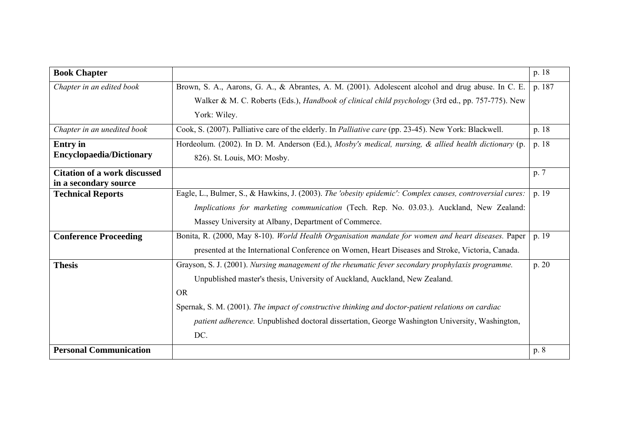<span id="page-29-0"></span>

| <b>Book Chapter</b>                               |                                                                                                              | p. 18  |
|---------------------------------------------------|--------------------------------------------------------------------------------------------------------------|--------|
| Chapter in an edited book                         | Brown, S. A., Aarons, G. A., & Abrantes, A. M. (2001). Adolescent alcohol and drug abuse. In C. E.           | p. 187 |
|                                                   | Walker & M. C. Roberts (Eds.), <i>Handbook of clinical child psychology</i> (3rd ed., pp. 757-775). New      |        |
|                                                   | York: Wiley.                                                                                                 |        |
| Chapter in an unedited book                       | Cook, S. (2007). Palliative care of the elderly. In <i>Palliative care</i> (pp. 23-45). New York: Blackwell. | p. 18  |
| <b>Entry</b> in                                   | Hordeolum. (2002). In D. M. Anderson (Ed.), Mosby's medical, nursing, & allied health dictionary (p.         | p. 18  |
| <b>Encyclopaedia/Dictionary</b>                   | 826). St. Louis, MO: Mosby.                                                                                  |        |
| <b>Citation of a work discussed</b>               |                                                                                                              | p. 7   |
| in a secondary source<br><b>Technical Reports</b> | Eagle, L., Bulmer, S., & Hawkins, J. (2003). The 'obesity epidemic': Complex causes, controversial cures:    | p. 19  |
|                                                   |                                                                                                              |        |
|                                                   | Implications for marketing communication (Tech. Rep. No. 03.03.). Auckland, New Zealand:                     |        |
|                                                   | Massey University at Albany, Department of Commerce.                                                         |        |
| <b>Conference Proceeding</b>                      | Bonita, R. (2000, May 8-10). <i>World Health Organisation mandate for women and heart diseases</i> . Paper   | p. 19  |
|                                                   | presented at the International Conference on Women, Heart Diseases and Stroke, Victoria, Canada.             |        |
| <b>Thesis</b>                                     | Grayson, S. J. (2001). Nursing management of the rheumatic fever secondary prophylaxis programme.            | p. 20  |
|                                                   | Unpublished master's thesis, University of Auckland, Auckland, New Zealand.                                  |        |
|                                                   | <b>OR</b>                                                                                                    |        |
|                                                   | Spernak, S. M. (2001). The impact of constructive thinking and doctor-patient relations on cardiac           |        |
|                                                   | patient adherence. Unpublished doctoral dissertation, George Washington University, Washington,              |        |
|                                                   | DC.                                                                                                          |        |
| <b>Personal Communication</b>                     |                                                                                                              | p. 8   |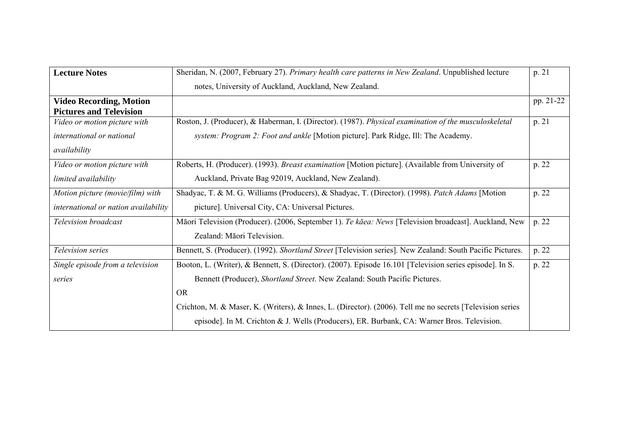| <b>Lecture Notes</b>                                                      | Sheridan, N. (2007, February 27). Primary health care patterns in New Zealand. Unpublished lecture                                                                                                                                                                                                               | p. 21     |
|---------------------------------------------------------------------------|------------------------------------------------------------------------------------------------------------------------------------------------------------------------------------------------------------------------------------------------------------------------------------------------------------------|-----------|
|                                                                           | notes, University of Auckland, Auckland, New Zealand.                                                                                                                                                                                                                                                            |           |
| <b>Video Recording, Motion</b><br><b>Pictures and Television</b>          |                                                                                                                                                                                                                                                                                                                  | pp. 21-22 |
| Video or motion picture with<br>international or national<br>availability | Roston, J. (Producer), & Haberman, I. (Director). (1987). Physical examination of the musculoskeletal<br>system: Program 2: Foot and ankle [Motion picture]. Park Ridge, Ill: The Academy.                                                                                                                       | p. 21     |
| Video or motion picture with<br>limited availability                      | Roberts, H. (Producer). (1993). <i>Breast examination</i> [Motion picture]. (Available from University of<br>Auckland, Private Bag 92019, Auckland, New Zealand).                                                                                                                                                | p. 22     |
| Motion picture (movie/film) with<br>international or nation availability  | Shadyac, T. & M. G. Williams (Producers), & Shadyac, T. (Director). (1998). Patch Adams [Motion<br>picture]. Universal City, CA: Universal Pictures.                                                                                                                                                             | p. 22     |
| Television broadcast                                                      | Māori Television (Producer). (2006, September 1). Te kāea: News [Television broadcast]. Auckland, New<br>Zealand: Māori Television.                                                                                                                                                                              | p. 22     |
| <i>Television series</i>                                                  | Bennett, S. (Producer). (1992). Shortland Street [Television series]. New Zealand: South Pacific Pictures.                                                                                                                                                                                                       | p. 22     |
| Single episode from a television<br>series                                | Booton, L. (Writer), & Bennett, S. (Director). (2007). Episode 16.101 [Television series episode]. In S.<br>Bennett (Producer), Shortland Street. New Zealand: South Pacific Pictures.<br><b>OR</b><br>Crichton, M. & Maser, K. (Writers), & Innes, L. (Director). (2006). Tell me no secrets [Television series | p. 22     |
|                                                                           | episode]. In M. Crichton & J. Wells (Producers), ER. Burbank, CA: Warner Bros. Television.                                                                                                                                                                                                                       |           |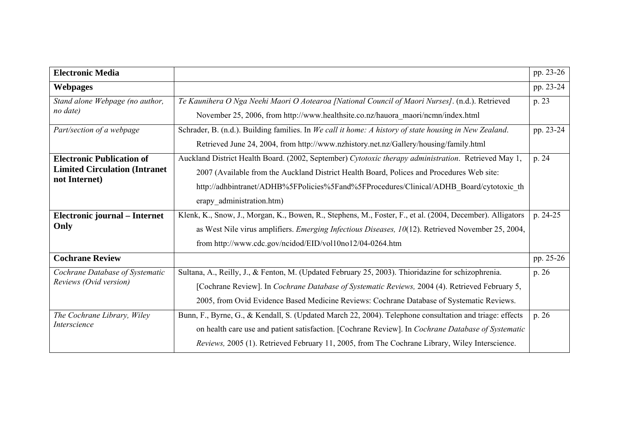<span id="page-31-0"></span>

| <b>Electronic Media</b>                                |                                                                                                           | pp. 23-26 |
|--------------------------------------------------------|-----------------------------------------------------------------------------------------------------------|-----------|
| <b>Webpages</b>                                        |                                                                                                           | pp. 23-24 |
| Stand alone Webpage (no author,                        | Te Kaunihera O Nga Neehi Maori O Aotearoa [National Council of Maori Nurses]. (n.d.). Retrieved           | p. 23     |
| no date)                                               | November 25, 2006, from http://www.healthsite.co.nz/hauora_maori/ncmn/index.html                          |           |
| Part/section of a webpage                              | Schrader, B. (n.d.). Building families. In We call it home: A history of state housing in New Zealand.    | pp. 23-24 |
|                                                        | Retrieved June 24, 2004, from http://www.nzhistory.net.nz/Gallery/housing/family.html                     |           |
| <b>Electronic Publication of</b>                       | Auckland District Health Board. (2002, September) Cytotoxic therapy administration. Retrieved May 1,      | p. 24     |
| <b>Limited Circulation (Intranet)</b><br>not Internet) | 2007 (Available from the Auckland District Health Board, Polices and Procedures Web site:                 |           |
|                                                        | http://adhbintranet/ADHB%5FPolicies%5Fand%5FProcedures/Clinical/ADHB Board/cytotoxic th                   |           |
|                                                        | erapy administration.htm)                                                                                 |           |
| Electronic journal - Internet                          | Klenk, K., Snow, J., Morgan, K., Bowen, R., Stephens, M., Foster, F., et al. (2004, December). Alligators | p. 24-25  |
| Only                                                   | as West Nile virus amplifiers. <i>Emerging Infectious Diseases, 10</i> (12). Retrieved November 25, 2004, |           |
|                                                        | from http://www.cdc.gov/ncidod/EID/vol10no12/04-0264.htm                                                  |           |
| <b>Cochrane Review</b>                                 |                                                                                                           | pp. 25-26 |
| Cochrane Database of Systematic                        | Sultana, A., Reilly, J., & Fenton, M. (Updated February 25, 2003). Thioridazine for schizophrenia.        | p. 26     |
| Reviews (Ovid version)                                 | [Cochrane Review]. In Cochrane Database of Systematic Reviews, 2004 (4). Retrieved February 5,            |           |
|                                                        | 2005, from Ovid Evidence Based Medicine Reviews: Cochrane Database of Systematic Reviews.                 |           |
| The Cochrane Library, Wiley<br>Interscience            | Bunn, F., Byrne, G., & Kendall, S. (Updated March 22, 2004). Telephone consultation and triage: effects   | p. 26     |
|                                                        | on health care use and patient satisfaction. [Cochrane Review]. In Cochrane Database of Systematic        |           |
|                                                        | Reviews, 2005 (1). Retrieved February 11, 2005, from The Cochrane Library, Wiley Interscience.            |           |